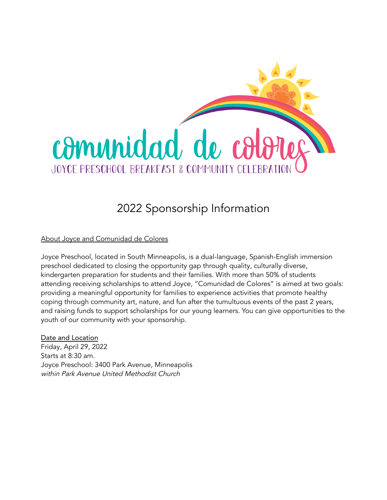

## 2022 Sponsorship Information

About Joyce and Comunidad de Colores

Joyce Preschool, located in South Minneapolis, is a dual-language, Spanish-English immersion preschool dedicated to closing the opportunity gap through quality, culturally diverse, kindergarten preparation for students and their families. With more than 50% of students attending receiving scholarships to attend Joyce, "Comunidad de Colores" is aimed at two goals: providing a meaningful opportunity for families to experience activities that promote healthy coping through community art, nature, and fun after the tumultuous events of the past 2 years, and raising funds to support scholarships for our young learners. You can give opportunities to the youth of our community with your sponsorship.

Date and Location Friday, April 29, 2022 Starts at 8:30 am. Joyce Preschool: 3400 Park Avenue, Minneapolis within Park Avenue United Methodist Church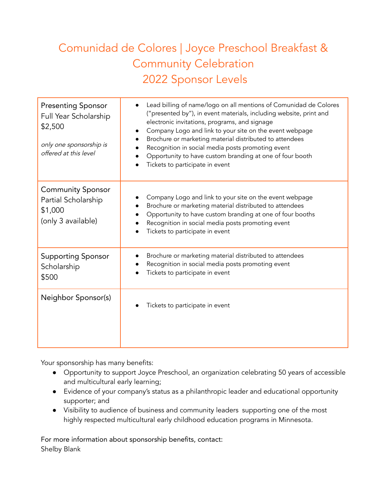## Comunidad de Colores | Joyce Preschool Breakfast & Community Celebration 2022 Sponsor Levels

| <b>Presenting Sponsor</b><br>Full Year Scholarship<br>\$2,500<br>only one sponsorship is<br>offered at this level | Lead billing of name/logo on all mentions of Comunidad de Colores<br>("presented by"), in event materials, including website, print and<br>electronic invitations, programs, and signage<br>Company Logo and link to your site on the event webpage<br>Brochure or marketing material distributed to attendees<br>Recognition in social media posts promoting event<br>Opportunity to have custom branding at one of four booth<br>Tickets to participate in event |
|-------------------------------------------------------------------------------------------------------------------|--------------------------------------------------------------------------------------------------------------------------------------------------------------------------------------------------------------------------------------------------------------------------------------------------------------------------------------------------------------------------------------------------------------------------------------------------------------------|
| <b>Community Sponsor</b><br>Partial Scholarship<br>\$1,000<br>(only 3 available)                                  | Company Logo and link to your site on the event webpage<br>Brochure or marketing material distributed to attendees<br>Opportunity to have custom branding at one of four booths<br>Recognition in social media posts promoting event<br>Tickets to participate in event                                                                                                                                                                                            |
| <b>Supporting Sponsor</b><br>Scholarship<br>\$500                                                                 | Brochure or marketing material distributed to attendees<br>Recognition in social media posts promoting event<br>Tickets to participate in event                                                                                                                                                                                                                                                                                                                    |
| Neighbor Sponsor(s)                                                                                               | Tickets to participate in event                                                                                                                                                                                                                                                                                                                                                                                                                                    |

Your sponsorship has many benefits:

- Opportunity to support Joyce Preschool, an organization celebrating 50 years of accessible and multicultural early learning;
- Evidence of your company's status as a philanthropic leader and educational opportunity supporter; and
- Visibility to audience of business and community leaders supporting one of the most highly respected multicultural early childhood education programs in Minnesota.

For more information about sponsorship benefits, contact: Shelby Blank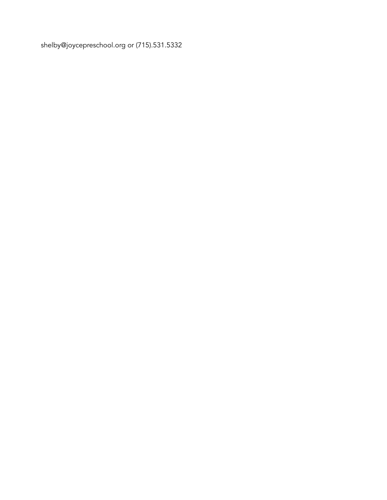shelby@joyceprescho[ol.o](mailto:andrea@joycepreschool.org)rg or (715).531.5332